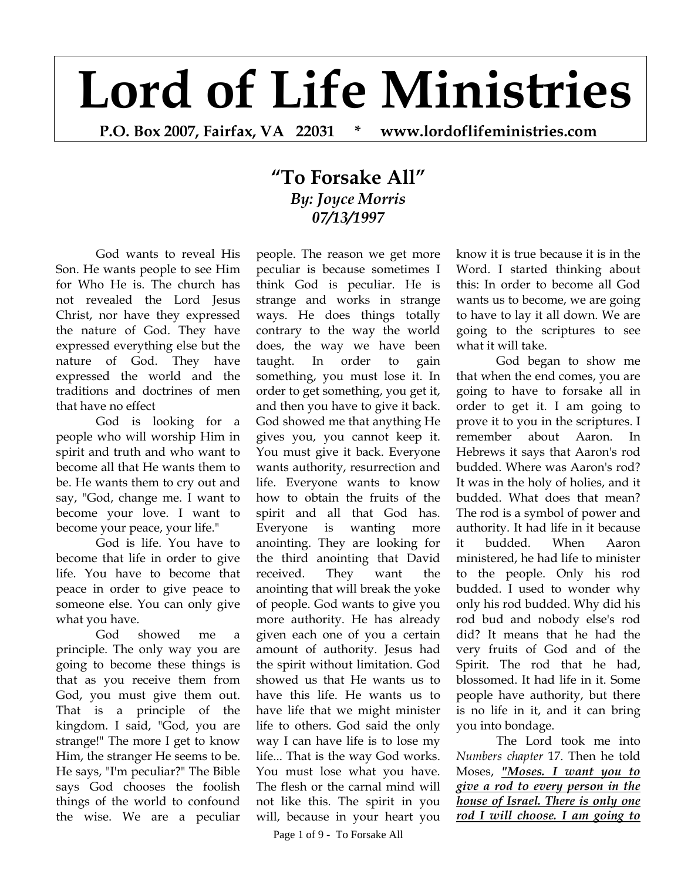## **Lord of Life Ministries**

**P.O. Box 2007, Fairfax, VA 22031 \* www.lordoflifeministries.com** 

## **"To Forsake All"** *By: Joyce Morris 07/13/1997*

God wants to reveal His Son. He wants people to see Him for Who He is. The church has not revealed the Lord Jesus Christ, nor have they expressed the nature of God. They have expressed everything else but the nature of God. They have expressed the world and the traditions and doctrines of men that have no effect

God is looking for a people who will worship Him in spirit and truth and who want to become all that He wants them to be. He wants them to cry out and say, "God, change me. I want to become your love. I want to become your peace, your life."

God is life. You have to become that life in order to give life. You have to become that peace in order to give peace to someone else. You can only give what you have.

God showed me a principle. The only way you are going to become these things is that as you receive them from God, you must give them out. That is a principle of the kingdom. I said, "God, you are strange!" The more I get to know Him, the stranger He seems to be. He says, "I'm peculiar?" The Bible says God chooses the foolish things of the world to confound the wise. We are a peculiar

people. The reason we get more peculiar is because sometimes I think God is peculiar. He is strange and works in strange ways. He does things totally contrary to the way the world does, the way we have been taught. In order to gain something, you must lose it. In order to get something, you get it, and then you have to give it back. God showed me that anything He gives you, you cannot keep it. You must give it back. Everyone wants authority, resurrection and life. Everyone wants to know how to obtain the fruits of the spirit and all that God has. Everyone is wanting more anointing. They are looking for the third anointing that David received. They want the anointing that will break the yoke of people. God wants to give you more authority. He has already given each one of you a certain amount of authority. Jesus had the spirit without limitation. God showed us that He wants us to have this life. He wants us to have life that we might minister life to others. God said the only way I can have life is to lose my life... That is the way God works. You must lose what you have. The flesh or the carnal mind will not like this. The spirit in you will, because in your heart you

know it is true because it is in the Word. I started thinking about this: In order to become all God wants us to become, we are going to have to lay it all down. We are going to the scriptures to see what it will take.

God began to show me that when the end comes, you are going to have to forsake all in order to get it. I am going to prove it to you in the scriptures. I remember about Aaron. In Hebrews it says that Aaron's rod budded. Where was Aaron's rod? It was in the holy of holies, and it budded. What does that mean? The rod is a symbol of power and authority. It had life in it because it budded. When Aaron ministered, he had life to minister to the people. Only his rod budded. I used to wonder why only his rod budded. Why did his rod bud and nobody else's rod did? It means that he had the very fruits of God and of the Spirit. The rod that he had, blossomed. It had life in it. Some people have authority, but there is no life in it, and it can bring you into bondage.

The Lord took me into *Numbers chapter* 17. Then he told Moses, *"Moses. I want you to give a rod to every person in the house of Israel. There is only one rod I will choose. I am going to* 

Page 1 of 9 - To Forsake All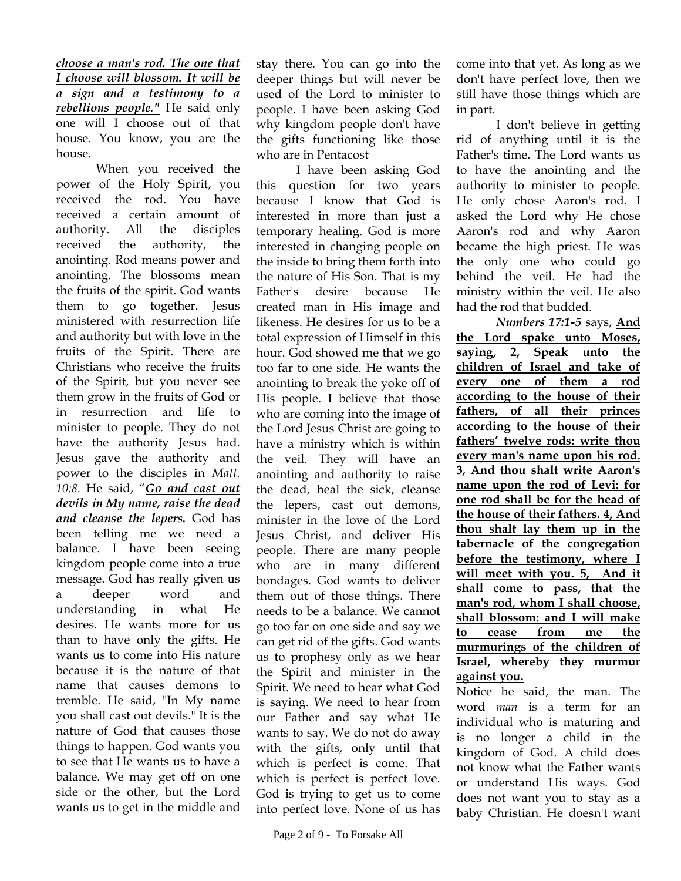*choose a man's rod. The one that I choose will blossom. It will be a sign and a testimony to a rebellious people."* He said only one will I choose out of that house. You know, you are the house.

When you received the power of the Holy Spirit, you received the rod. You have received a certain amount of authority. All the disciples received the authority, the anointing. Rod means power and anointing. The blossoms mean the fruits of the spirit. God wants them to go together. Jesus ministered with resurrection life and authority but with love in the fruits of the Spirit. There are Christians who receive the fruits of the Spirit, but you never see them grow in the fruits of God or in resurrection and life to minister to people. They do not have the authority Jesus had. Jesus gave the authority and power to the disciples in *Matt. 10:8.* He said, "*Go and cast out devils in My name, raise the dead and cleanse the lepers.* God has been telling me we need a balance. I have been seeing kingdom people come into a true message. God has really given us a deeper word and understanding in what He desires. He wants more for us than to have only the gifts. He wants us to come into His nature because it is the nature of that name that causes demons to tremble. He said, "In My name you shall cast out devils." It is the nature of God that causes those things to happen. God wants you to see that He wants us to have a balance. We may get off on one side or the other, but the Lord wants us to get in the middle and

stay there. You can go into the deeper things but will never be used of the Lord to minister to people. I have been asking God why kingdom people don't have the gifts functioning like those who are in Pentacost

I have been asking God this question for two years because I know that God is interested in more than just a temporary healing. God is more interested in changing people on the inside to bring them forth into the nature of His Son. That is my Father's desire because He created man in His image and likeness. He desires for us to be a total expression of Himself in this hour. God showed me that we go too far to one side. He wants the anointing to break the yoke off of His people. I believe that those who are coming into the image of the Lord Jesus Christ are going to have a ministry which is within the veil. They will have an anointing and authority to raise the dead, heal the sick, cleanse the lepers, cast out demons, minister in the love of the Lord Jesus Christ, and deliver His people. There are many people who are in many different bondages. God wants to deliver them out of those things. There needs to be a balance. We cannot go too far on one side and say we can get rid of the gifts. God wants us to prophesy only as we hear the Spirit and minister in the Spirit. We need to hear what God is saying. We need to hear from our Father and say what He wants to say. We do not do away with the gifts, only until that which is perfect is come. That which is perfect is perfect love. God is trying to get us to come into perfect love. None of us has

come into that yet. As long as we don't have perfect love, then we still have those things which are in part.

I don't believe in getting rid of anything until it is the Father's time. The Lord wants us to have the anointing and the authority to minister to people. He only chose Aaron's rod. I asked the Lord why He chose Aaron's rod and why Aaron became the high priest. He was the only one who could go behind the veil. He had the ministry within the veil. He also had the rod that budded.

*Numbers 17:1-5* says, **And the Lord spake unto Moses, saying, 2, Speak unto the children of Israel and take of every one of them a rod according to the house of their fathers, of all their princes according to the house of their fathers' twelve rods: write thou every man's name upon his rod. 3, And thou shalt write Aaron's name upon the rod of Levi: for one rod shall be for the head of the house of their fathers. 4, And thou shalt lay them up in the tabernacle of the congregation before the testimony, where I will meet with you. 5, And it shall come to pass, that the man's rod, whom I shall choose, shall blossom: and I will make to cease from me the murmurings of the children of Israel, whereby they murmur against you.** 

Notice he said, the man. The word *man* is a term for an individual who is maturing and is no longer a child in the kingdom of God. A child does not know what the Father wants or understand His ways. God does not want you to stay as a baby Christian. He doesn't want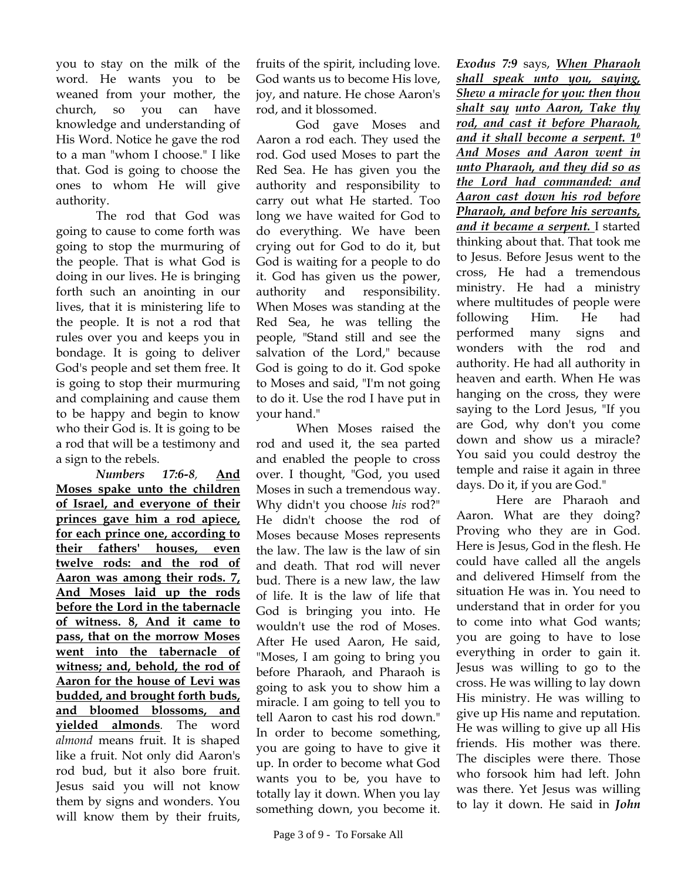you to stay on the milk of the word. He wants you to be weaned from your mother, the church, so you can have knowledge and understanding of His Word. Notice he gave the rod to a man "whom I choose." I like that. God is going to choose the ones to whom He will give authority.

The rod that God was going to cause to come forth was going to stop the murmuring of the people. That is what God is doing in our lives. He is bringing forth such an anointing in our lives, that it is ministering life to the people. It is not a rod that rules over you and keeps you in bondage. It is going to deliver God's people and set them free. It is going to stop their murmuring and complaining and cause them to be happy and begin to know who their God is. It is going to be a rod that will be a testimony and a sign to the rebels.

*Numbers 17:6-8,* **And Moses spake unto the children of Israel, and everyone of their princes gave him a rod apiece, for each prince one, according to their fathers' houses, even twelve rods: and the rod of Aaron was among their rods. 7, And Moses laid up the rods before the Lord in the tabernacle of witness. 8, And it came to pass, that on the morrow Moses went into the tabernacle of witness; and, behold, the rod of Aaron for the house of Levi was budded, and brought forth buds, and bloomed blossoms, and yielded almonds***.* The word *almond* means fruit. It is shaped like a fruit. Not only did Aaron's rod bud, but it also bore fruit. Jesus said you will not know them by signs and wonders. You will know them by their fruits,

fruits of the spirit, including love. God wants us to become His love, joy, and nature. He chose Aaron's rod, and it blossomed.

God gave Moses and Aaron a rod each. They used the rod. God used Moses to part the Red Sea. He has given you the authority and responsibility to carry out what He started. Too long we have waited for God to do everything. We have been crying out for God to do it, but God is waiting for a people to do it. God has given us the power, authority and responsibility. When Moses was standing at the Red Sea, he was telling the people, "Stand still and see the salvation of the Lord," because God is going to do it. God spoke to Moses and said, "I'm not going to do it. Use the rod I have put in your hand."

When Moses raised the rod and used it, the sea parted and enabled the people to cross over. I thought, "God, you used Moses in such a tremendous way. Why didn't you choose *his* rod?" He didn't choose the rod of Moses because Moses represents the law. The law is the law of sin and death. That rod will never bud. There is a new law, the law of life. It is the law of life that God is bringing you into. He wouldn't use the rod of Moses. After He used Aaron, He said, "Moses, I am going to bring you before Pharaoh, and Pharaoh is going to ask you to show him a miracle. I am going to tell you to tell Aaron to cast his rod down." In order to become something, you are going to have to give it up. In order to become what God wants you to be, you have to totally lay it down. When you lay something down, you become it.

*Exodus 7:9* says, *When Pharaoh shall speak unto you, saying, Shew a miracle for you: then thou shalt say unto Aaron, Take thy rod, and cast it before Pharaoh, and it shall become a serpent. 10 And Moses and Aaron went in unto Pharaoh, and they did so as the Lord had commanded: and Aaron cast down his rod before Pharaoh, and before his servants, and it became a serpent.* I started thinking about that. That took me to Jesus. Before Jesus went to the cross, He had a tremendous ministry. He had a ministry where multitudes of people were following Him. He had performed many signs and wonders with the rod and authority. He had all authority in heaven and earth. When He was hanging on the cross, they were saying to the Lord Jesus, "If you are God, why don't you come down and show us a miracle? You said you could destroy the temple and raise it again in three days. Do it, if you are God."

Here are Pharaoh and Aaron. What are they doing? Proving who they are in God. Here is Jesus, God in the flesh. He could have called all the angels and delivered Himself from the situation He was in. You need to understand that in order for you to come into what God wants; you are going to have to lose everything in order to gain it. Jesus was willing to go to the cross. He was willing to lay down His ministry. He was willing to give up His name and reputation. He was willing to give up all His friends. His mother was there. The disciples were there. Those who forsook him had left. John was there. Yet Jesus was willing to lay it down. He said in *John*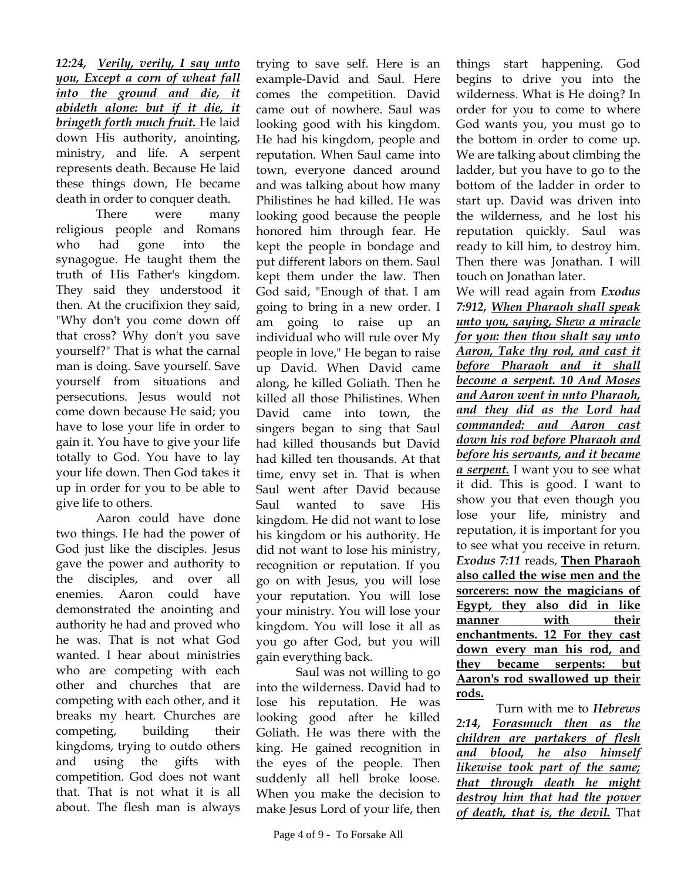*12:24, Verily, verily, I say unto you, Except a corn of wheat fall into the ground and die, it abideth alone: but if it die, it bringeth forth much fruit.* He laid down His authority, anointing, ministry, and life. A serpent represents death. Because He laid these things down, He became death in order to conquer death.

There were many religious people and Romans who had gone into the synagogue. He taught them the truth of His Father's kingdom. They said they understood it then. At the crucifixion they said, "Why don't you come down off that cross? Why don't you save yourself?" That is what the carnal man is doing. Save yourself. Save yourself from situations and persecutions. Jesus would not come down because He said; you have to lose your life in order to gain it. You have to give your life totally to God. You have to lay your life down. Then God takes it up in order for you to be able to give life to others.

Aaron could have done two things. He had the power of God just like the disciples. Jesus gave the power and authority to the disciples, and over all enemies. Aaron could have demonstrated the anointing and authority he had and proved who he was. That is not what God wanted. I hear about ministries who are competing with each other and churches that are competing with each other, and it breaks my heart. Churches are competing, building their kingdoms, trying to outdo others and using the gifts with competition. God does not want that. That is not what it is all about. The flesh man is always

trying to save self. Here is an example-David and Saul. Here comes the competition. David came out of nowhere. Saul was looking good with his kingdom. He had his kingdom, people and reputation. When Saul came into town, everyone danced around and was talking about how many Philistines he had killed. He was looking good because the people honored him through fear. He kept the people in bondage and put different labors on them. Saul kept them under the law. Then God said, "Enough of that. I am going to bring in a new order. I am going to raise up an individual who will rule over My people in love," He began to raise up David. When David came along, he killed Goliath. Then he killed all those Philistines. When David came into town, the singers began to sing that Saul had killed thousands but David had killed ten thousands. At that time, envy set in. That is when Saul went after David because Saul wanted to save His kingdom. He did not want to lose his kingdom or his authority. He did not want to lose his ministry, recognition or reputation. If you go on with Jesus, you will lose your reputation. You will lose your ministry. You will lose your kingdom. You will lose it all as you go after God, but you will gain everything back.

Saul was not willing to go into the wilderness. David had to lose his reputation. He was looking good after he killed Goliath. He was there with the king. He gained recognition in the eyes of the people. Then suddenly all hell broke loose. When you make the decision to make Jesus Lord of your life, then things start happening. God begins to drive you into the wilderness. What is He doing? In order for you to come to where God wants you, you must go to the bottom in order to come up. We are talking about climbing the ladder, but you have to go to the bottom of the ladder in order to start up. David was driven into the wilderness, and he lost his reputation quickly. Saul was ready to kill him, to destroy him. Then there was Jonathan. I will touch on Jonathan later.

We will read again from *Exodus 7:912, When Pharaoh shall speak unto you, saying, Shew a miracle for you: then thou shalt say unto Aaron, Take thy rod, and cast it before Pharaoh and it shall become a serpent. 10 And Moses and Aaron went in unto Pharaoh, and they did as the Lord had commanded: and Aaron cast down his rod before Pharaoh and before his servants, and it became a serpent.* I want you to see what it did. This is good. I want to show you that even though you lose your life, ministry and reputation, it is important for you to see what you receive in return. *Exodus 7:11* reads, **Then Pharaoh also called the wise men and the sorcerers: now the magicians of Egypt, they also did in like manner with their enchantments. 12 For they cast down every man his rod, and they became serpents: but Aaron's rod swallowed up their rods.** 

Turn with me to *Hebrews 2:14, Forasmuch then as the children are partakers of flesh and blood, he also himself likewise took part of the same; that through death he might destroy him that had the power of death, that is, the devil.* That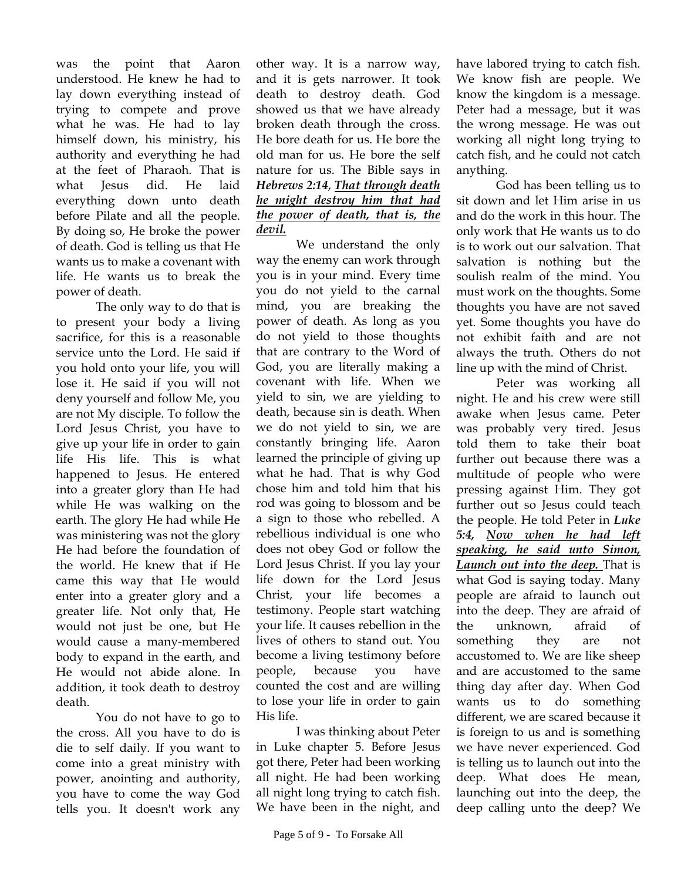was the point that Aaron understood. He knew he had to lay down everything instead of trying to compete and prove what he was. He had to lay himself down, his ministry, his authority and everything he had at the feet of Pharaoh. That is what Jesus did. He laid everything down unto death before Pilate and all the people. By doing so, He broke the power of death. God is telling us that He wants us to make a covenant with life. He wants us to break the power of death.

The only way to do that is to present your body a living sacrifice, for this is a reasonable service unto the Lord. He said if you hold onto your life, you will lose it. He said if you will not deny yourself and follow Me, you are not My disciple. To follow the Lord Jesus Christ, you have to give up your life in order to gain life His life. This is what happened to Jesus. He entered into a greater glory than He had while He was walking on the earth. The glory He had while He was ministering was not the glory He had before the foundation of the world. He knew that if He came this way that He would enter into a greater glory and a greater life. Not only that, He would not just be one, but He would cause a many-membered body to expand in the earth, and He would not abide alone. In addition, it took death to destroy death.

You do not have to go to the cross. All you have to do is die to self daily. If you want to come into a great ministry with power, anointing and authority, you have to come the way God tells you. It doesn't work any other way. It is a narrow way, and it is gets narrower. It took death to destroy death. God showed us that we have already broken death through the cross. He bore death for us. He bore the old man for us. He bore the self nature for us. The Bible says in *Hebrews 2:14*, *That through death he might destroy him that had the power of death, that is, the devil.* 

We understand the only way the enemy can work through you is in your mind. Every time you do not yield to the carnal mind, you are breaking the power of death. As long as you do not yield to those thoughts that are contrary to the Word of God, you are literally making a covenant with life. When we yield to sin, we are yielding to death, because sin is death. When we do not yield to sin, we are constantly bringing life. Aaron learned the principle of giving up what he had. That is why God chose him and told him that his rod was going to blossom and be a sign to those who rebelled. A rebellious individual is one who does not obey God or follow the Lord Jesus Christ. If you lay your life down for the Lord Jesus Christ, your life becomes a testimony. People start watching your life. It causes rebellion in the lives of others to stand out. You become a living testimony before people, because you have counted the cost and are willing to lose your life in order to gain His life.

I was thinking about Peter in Luke chapter 5. Before Jesus got there, Peter had been working all night. He had been working all night long trying to catch fish. We have been in the night, and

have labored trying to catch fish. We know fish are people. We know the kingdom is a message. Peter had a message, but it was the wrong message. He was out working all night long trying to catch fish, and he could not catch anything.

God has been telling us to sit down and let Him arise in us and do the work in this hour. The only work that He wants us to do is to work out our salvation. That salvation is nothing but the soulish realm of the mind. You must work on the thoughts. Some thoughts you have are not saved yet. Some thoughts you have do not exhibit faith and are not always the truth. Others do not line up with the mind of Christ.

Peter was working all night. He and his crew were still awake when Jesus came. Peter was probably very tired. Jesus told them to take their boat further out because there was a multitude of people who were pressing against Him. They got further out so Jesus could teach the people. He told Peter in *Luke 5:4, Now when he had left speaking, he said unto Simon, Launch out into the deep.* That is what God is saying today. Many people are afraid to launch out into the deep. They are afraid of the unknown, afraid of something they are not accustomed to. We are like sheep and are accustomed to the same thing day after day. When God wants us to do something different, we are scared because it is foreign to us and is something we have never experienced. God is telling us to launch out into the deep. What does He mean, launching out into the deep, the deep calling unto the deep? We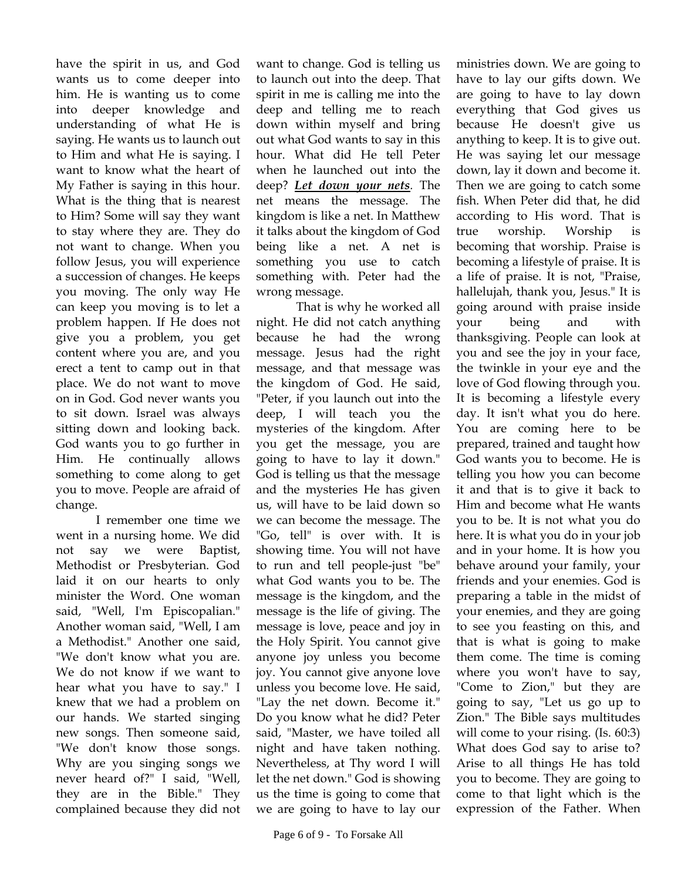have the spirit in us, and God wants us to come deeper into him. He is wanting us to come into deeper knowledge and understanding of what He is saying. He wants us to launch out to Him and what He is saying. I want to know what the heart of My Father is saying in this hour. What is the thing that is nearest to Him? Some will say they want to stay where they are. They do not want to change. When you follow Jesus, you will experience a succession of changes. He keeps you moving. The only way He can keep you moving is to let a problem happen. If He does not give you a problem, you get content where you are, and you erect a tent to camp out in that place. We do not want to move on in God. God never wants you to sit down. Israel was always sitting down and looking back. God wants you to go further in Him. He continually allows something to come along to get you to move. People are afraid of change.

I remember one time we went in a nursing home. We did not say we were Baptist, Methodist or Presbyterian. God laid it on our hearts to only minister the Word. One woman said, "Well, I'm Episcopalian." Another woman said, "Well, I am a Methodist." Another one said, "We don't know what you are. We do not know if we want to hear what you have to say." I knew that we had a problem on our hands. We started singing new songs. Then someone said, "We don't know those songs. Why are you singing songs we never heard of?" I said, "Well, they are in the Bible." They complained because they did not

want to change. God is telling us to launch out into the deep. That spirit in me is calling me into the deep and telling me to reach down within myself and bring out what God wants to say in this hour. What did He tell Peter when he launched out into the deep? *Let down your nets.* The net means the message. The kingdom is like a net. In Matthew it talks about the kingdom of God being like a net. A net is something you use to catch something with. Peter had the wrong message.

That is why he worked all night. He did not catch anything because he had the wrong message. Jesus had the right message, and that message was the kingdom of God. He said, "Peter, if you launch out into the deep, I will teach you the mysteries of the kingdom. After you get the message, you are going to have to lay it down." God is telling us that the message and the mysteries He has given us, will have to be laid down so we can become the message. The "Go, tell" is over with. It is showing time. You will not have to run and tell people-just "be" what God wants you to be. The message is the kingdom, and the message is the life of giving. The message is love, peace and joy in the Holy Spirit. You cannot give anyone joy unless you become joy. You cannot give anyone love unless you become love. He said, "Lay the net down. Become it." Do you know what he did? Peter said, "Master, we have toiled all night and have taken nothing. Nevertheless, at Thy word I will let the net down." God is showing us the time is going to come that we are going to have to lay our

ministries down. We are going to have to lay our gifts down. We are going to have to lay down everything that God gives us because He doesn't give us anything to keep. It is to give out. He was saying let our message down, lay it down and become it. Then we are going to catch some fish. When Peter did that, he did according to His word. That is true worship. Worship becoming that worship. Praise is becoming a lifestyle of praise. It is a life of praise. It is not, "Praise, hallelujah, thank you, Jesus." It is going around with praise inside your being and with thanksgiving. People can look at you and see the joy in your face, the twinkle in your eye and the love of God flowing through you. It is becoming a lifestyle every day. It isn't what you do here. You are coming here to be prepared, trained and taught how God wants you to become. He is telling you how you can become it and that is to give it back to Him and become what He wants you to be. It is not what you do here. It is what you do in your job and in your home. It is how you behave around your family, your friends and your enemies. God is preparing a table in the midst of your enemies, and they are going to see you feasting on this, and that is what is going to make them come. The time is coming where you won't have to say, "Come to Zion," but they are going to say, "Let us go up to Zion." The Bible says multitudes will come to your rising. (Is. 60:3) What does God say to arise to? Arise to all things He has told you to become. They are going to come to that light which is the expression of the Father. When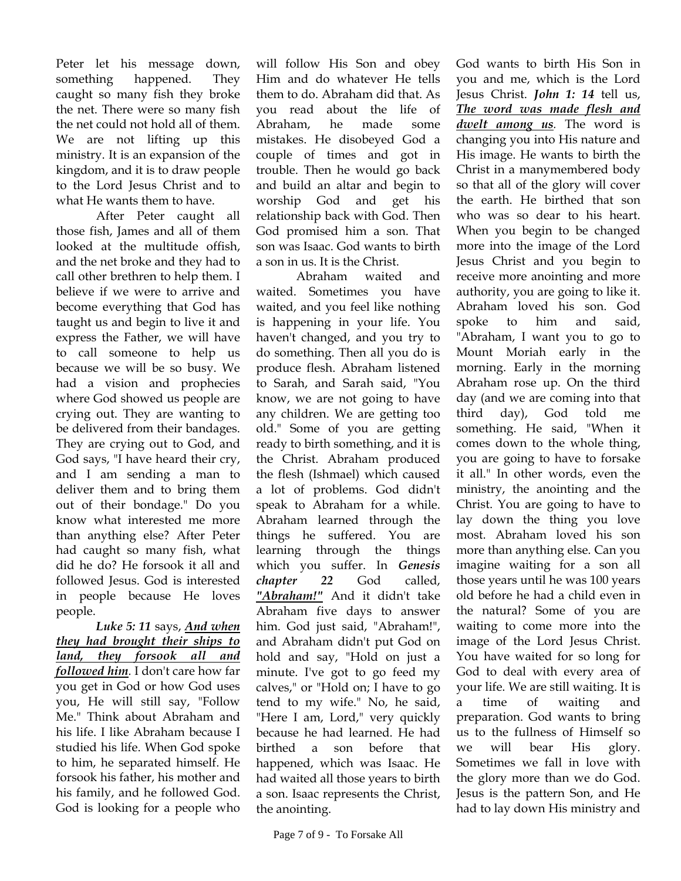Peter let his message down, something happened. They caught so many fish they broke the net. There were so many fish the net could not hold all of them. We are not lifting up this ministry. It is an expansion of the kingdom, and it is to draw people to the Lord Jesus Christ and to what He wants them to have.

After Peter caught all those fish, James and all of them looked at the multitude offish, and the net broke and they had to call other brethren to help them. I believe if we were to arrive and become everything that God has taught us and begin to live it and express the Father, we will have to call someone to help us because we will be so busy. We had a vision and prophecies where God showed us people are crying out. They are wanting to be delivered from their bandages. They are crying out to God, and God says, "I have heard their cry, and I am sending a man to deliver them and to bring them out of their bondage." Do you know what interested me more than anything else? After Peter had caught so many fish, what did he do? He forsook it all and followed Jesus. God is interested in people because He loves people.

*Luke 5: 11* says, *And when they had brought their ships to land, they forsook all and followed him.* I don't care how far you get in God or how God uses you, He will still say, "Follow Me." Think about Abraham and his life. I like Abraham because I studied his life. When God spoke to him, he separated himself. He forsook his father, his mother and his family, and he followed God. God is looking for a people who

will follow His Son and obey Him and do whatever He tells them to do. Abraham did that. As you read about the life of Abraham, he made some mistakes. He disobeyed God a couple of times and got in trouble. Then he would go back and build an altar and begin to worship God and get his relationship back with God. Then God promised him a son. That son was Isaac. God wants to birth a son in us. It is the Christ.

Abraham waited and waited. Sometimes you have waited, and you feel like nothing is happening in your life. You haven't changed, and you try to do something. Then all you do is produce flesh. Abraham listened to Sarah, and Sarah said, "You know, we are not going to have any children. We are getting too old." Some of you are getting ready to birth something, and it is the Christ. Abraham produced the flesh (Ishmael) which caused a lot of problems. God didn't speak to Abraham for a while. Abraham learned through the things he suffered. You are learning through the things which you suffer. In *Genesis chapter 22* God called, *"Abraham!"* And it didn't take Abraham five days to answer him. God just said, "Abraham!", and Abraham didn't put God on hold and say, "Hold on just a minute. I've got to go feed my calves," or "Hold on; I have to go tend to my wife." No, he said, "Here I am, Lord," very quickly because he had learned. He had birthed a son before that happened, which was Isaac. He had waited all those years to birth a son. Isaac represents the Christ, the anointing.

God wants to birth His Son in you and me, which is the Lord Jesus Christ. *John 1: 14* tell us, *The word was made flesh and dwelt among us.* The word is changing you into His nature and His image. He wants to birth the Christ in a manymembered body so that all of the glory will cover the earth. He birthed that son who was so dear to his heart. When you begin to be changed more into the image of the Lord Jesus Christ and you begin to receive more anointing and more authority, you are going to like it. Abraham loved his son. God spoke to him and said, "Abraham, I want you to go to Mount Moriah early in the morning. Early in the morning Abraham rose up. On the third day (and we are coming into that third day), God told me something. He said, "When it comes down to the whole thing, you are going to have to forsake it all." In other words, even the ministry, the anointing and the Christ. You are going to have to lay down the thing you love most. Abraham loved his son more than anything else. Can you imagine waiting for a son all those years until he was 100 years old before he had a child even in the natural? Some of you are waiting to come more into the image of the Lord Jesus Christ. You have waited for so long for God to deal with every area of your life. We are still waiting. It is a time of waiting and preparation. God wants to bring us to the fullness of Himself so we will bear His glory. Sometimes we fall in love with the glory more than we do God. Jesus is the pattern Son, and He had to lay down His ministry and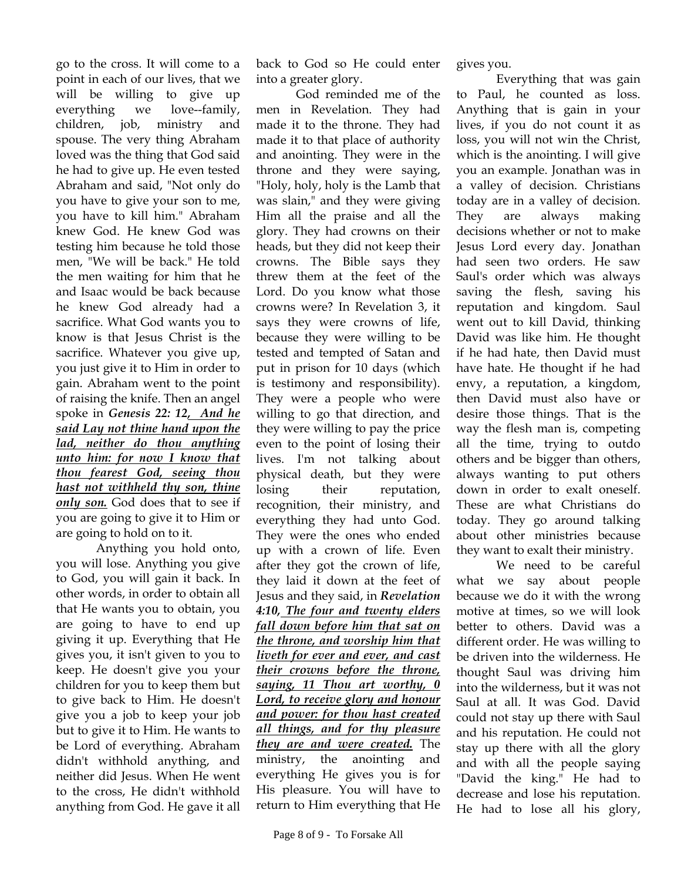go to the cross. It will come to a point in each of our lives, that we will be willing to give up everything we love--family, children, job, ministry and spouse. The very thing Abraham loved was the thing that God said he had to give up. He even tested Abraham and said, "Not only do you have to give your son to me, you have to kill him." Abraham knew God. He knew God was testing him because he told those men, "We will be back." He told the men waiting for him that he and Isaac would be back because he knew God already had a sacrifice. What God wants you to know is that Jesus Christ is the sacrifice. Whatever you give up, you just give it to Him in order to gain. Abraham went to the point of raising the knife. Then an angel spoke in *Genesis 22: 12, And he said Lay not thine hand upon the lad, neither do thou anything unto him: for now I know that thou fearest God, seeing thou hast not withheld thy son, thine only son.* God does that to see if you are going to give it to Him or are going to hold on to it.

Anything you hold onto, you will lose. Anything you give to God, you will gain it back. In other words, in order to obtain all that He wants you to obtain, you are going to have to end up giving it up. Everything that He gives you, it isn't given to you to keep. He doesn't give you your children for you to keep them but to give back to Him. He doesn't give you a job to keep your job but to give it to Him. He wants to be Lord of everything. Abraham didn't withhold anything, and neither did Jesus. When He went to the cross, He didn't withhold anything from God. He gave it all

back to God so He could enter into a greater glory.

God reminded me of the men in Revelation. They had made it to the throne. They had made it to that place of authority and anointing. They were in the throne and they were saying, "Holy, holy, holy is the Lamb that was slain," and they were giving Him all the praise and all the glory. They had crowns on their heads, but they did not keep their crowns. The Bible says they threw them at the feet of the Lord. Do you know what those crowns were? In Revelation 3, it says they were crowns of life, because they were willing to be tested and tempted of Satan and put in prison for 10 days (which is testimony and responsibility). They were a people who were willing to go that direction, and they were willing to pay the price even to the point of losing their lives. I'm not talking about physical death, but they were losing their reputation, recognition, their ministry, and everything they had unto God. They were the ones who ended up with a crown of life. Even after they got the crown of life, they laid it down at the feet of Jesus and they said, in *Revelation 4:10, The four and twenty elders fall down before him that sat on the throne, and worship him that liveth for ever and ever, and cast their crowns before the throne, saying, 11 Thou art worthy, 0 Lord, to receive glory and honour and power: for thou hast created all things, and for thy pleasure they are and were created.* The ministry, the anointing and everything He gives you is for His pleasure. You will have to return to Him everything that He

Page 8 of 9 - To Forsake All

gives you.

Everything that was gain to Paul, he counted as loss. Anything that is gain in your lives, if you do not count it as loss, you will not win the Christ, which is the anointing. I will give you an example. Jonathan was in a valley of decision. Christians today are in a valley of decision. They are always making decisions whether or not to make Jesus Lord every day. Jonathan had seen two orders. He saw Saul's order which was always saving the flesh, saving his reputation and kingdom. Saul went out to kill David, thinking David was like him. He thought if he had hate, then David must have hate. He thought if he had envy, a reputation, a kingdom, then David must also have or desire those things. That is the way the flesh man is, competing all the time, trying to outdo others and be bigger than others, always wanting to put others down in order to exalt oneself. These are what Christians do today. They go around talking about other ministries because they want to exalt their ministry.

We need to be careful what we say about people because we do it with the wrong motive at times, so we will look better to others. David was a different order. He was willing to be driven into the wilderness. He thought Saul was driving him into the wilderness, but it was not Saul at all. It was God. David could not stay up there with Saul and his reputation. He could not stay up there with all the glory and with all the people saying "David the king." He had to decrease and lose his reputation. He had to lose all his glory,